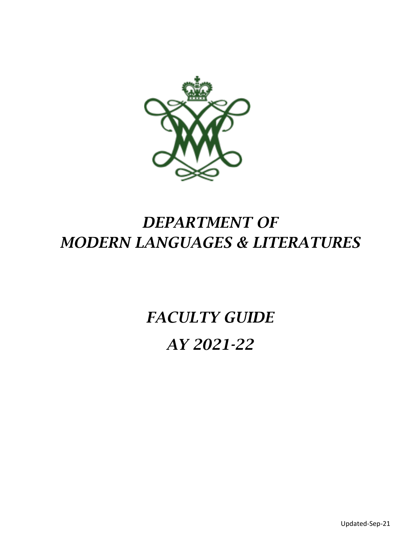

# *DEPARTMENT OF MODERN LANGUAGES & LITERATURES*

# *FACULTY GUIDE AY 2021-22*

Updated-Sep-21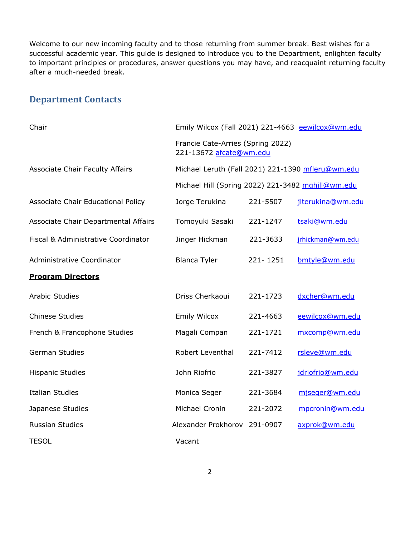Welcome to our new incoming faculty and to those returning from summer break. Best wishes for a successful academic year. This guide is designed to introduce you to the Department, enlighten faculty to important principles or procedures, answer questions you may have, and reacquaint returning faculty after a much-needed break.

## **Department Contacts**

| Chair                                  | Emily Wilcox (Fall 2021) 221-4663 eewilcox@wm.edu                                                      |          |                   |
|----------------------------------------|--------------------------------------------------------------------------------------------------------|----------|-------------------|
|                                        | Francie Cate-Arries (Spring 2022)<br>221-13672 afcate@wm.edu                                           |          |                   |
| <b>Associate Chair Faculty Affairs</b> | Michael Leruth (Fall 2021) 221-1390 mfleru@wm.edu<br>Michael Hill (Spring 2022) 221-3482 mghill@wm.edu |          |                   |
|                                        |                                                                                                        |          |                   |
| Associate Chair Educational Policy     | Jorge Terukina                                                                                         | 221-5507 | jlterukina@wm.edu |
| Associate Chair Departmental Affairs   | Tomoyuki Sasaki                                                                                        | 221-1247 | tsaki@wm.edu      |
| Fiscal & Administrative Coordinator    | Jinger Hickman                                                                                         | 221-3633 | jrhickman@wm.edu  |
| Administrative Coordinator             | <b>Blanca Tyler</b>                                                                                    | 221-1251 | bmtyle@wm.edu     |
| <b>Program Directors</b>               |                                                                                                        |          |                   |
| Arabic Studies                         | Driss Cherkaoui                                                                                        | 221-1723 | dxcher@wm.edu     |
| <b>Chinese Studies</b>                 | <b>Emily Wilcox</b>                                                                                    | 221-4663 | eewilcox@wm.edu   |
| French & Francophone Studies           | Magali Compan                                                                                          | 221-1721 | mxcomp@wm.edu     |
| <b>German Studies</b>                  | Robert Leventhal                                                                                       | 221-7412 | rsleve@wm.edu     |
| <b>Hispanic Studies</b>                | John Riofrio                                                                                           | 221-3827 | jdriofrio@wm.edu  |
| <b>Italian Studies</b>                 | Monica Seger                                                                                           | 221-3684 | mjseger@wm.edu    |
| Japanese Studies                       | Michael Cronin                                                                                         | 221-2072 | mpcronin@wm.edu   |
| Russian Studies                        | Alexander Prokhorov                                                                                    | 291-0907 | axprok@wm.edu     |
| <b>TESOL</b>                           | Vacant                                                                                                 |          |                   |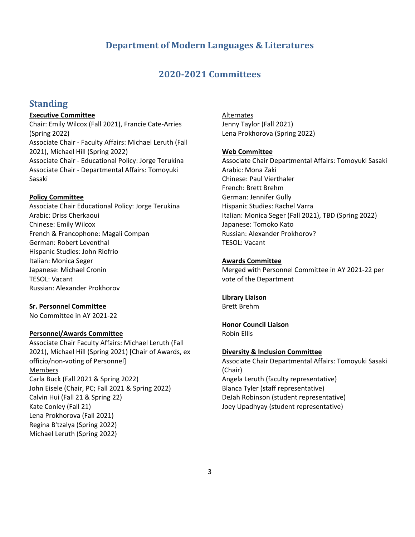## **Department of Modern Languages & Literatures**

## **2020-2021 Committees**

## **Standing**

#### **Executive Committee**

Chair: Emily Wilcox (Fall 2021), Francie Cate-Arries (Spring 2022) Associate Chair - Faculty Affairs: Michael Leruth (Fall 2021), Michael Hill (Spring 2022) Associate Chair - Educational Policy: Jorge Terukina Associate Chair - Departmental Affairs: Tomoyuki Sasaki

#### **Policy Committee**

Associate Chair Educational Policy: Jorge Terukina Arabic: Driss Cherkaoui Chinese: Emily Wilcox French & Francophone: Magali Compan German: Robert Leventhal Hispanic Studies: John Riofrio Italian: Monica Seger Japanese: Michael Cronin TESOL: Vacant Russian: Alexander Prokhorov

#### **Sr. Personnel Committee**

No Committee in AY 2021-22

#### **Personnel/Awards Committee**

Associate Chair Faculty Affairs: Michael Leruth (Fall 2021), Michael Hill (Spring 2021) [Chair of Awards, ex officio/non-voting of Personnel] Members Carla Buck (Fall 2021 & Spring 2022) John Eisele (Chair, PC; Fall 2021 & Spring 2022) Calvin Hui (Fall 21 & Spring 22) Kate Conley (Fall 21) Lena Prokhorova (Fall 2021) Regina B'tzalya (Spring 2022) Michael Leruth (Spring 2022)

#### Alternates

Jenny Taylor (Fall 2021) Lena Prokhorova (Spring 2022)

#### **Web Committee**

Associate Chair Departmental Affairs: Tomoyuki Sasaki Arabic: Mona Zaki Chinese: Paul Vierthaler French: Brett Brehm German: Jennifer Gully Hispanic Studies: Rachel Varra Italian: Monica Seger (Fall 2021), TBD (Spring 2022) Japanese: Tomoko Kato Russian: Alexander Prokhorov? TESOL: Vacant

#### **Awards Committee**

Merged with Personnel Committee in AY 2021-22 per vote of the Department

#### **Library Liaison**

Brett Brehm

#### **Honor Council Liaison**

Robin Ellis

#### **Diversity & Inclusion Committee**

Associate Chair Departmental Affairs: Tomoyuki Sasaki (Chair) Angela Leruth (faculty representative) Blanca Tyler (staff representative) DeJah Robinson (student representative) Joey Upadhyay (student representative)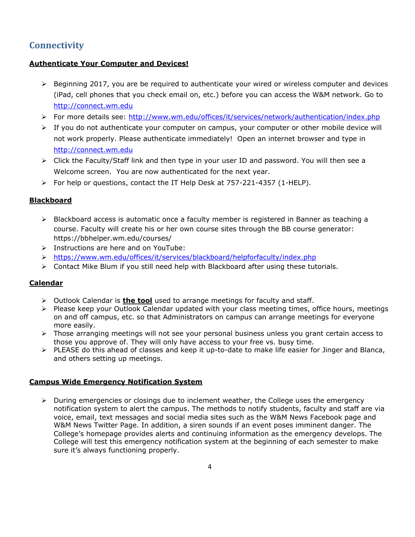# **Connectivity**

## **Authenticate Your Computer and Devices!**

- $\triangleright$  Beginning 2017, you are be required to authenticate your wired or wireless computer and devices (iPad, cell phones that you check email on, etc.) before you can access the W&M network. Go to [http://connect.wm.edu](https://connect.wm.edu/)
- ➢ For more details see:<http://www.wm.edu/offices/it/services/network/authentication/index.php>
- $\triangleright$  If you do not authenticate your computer on campus, your computer or other mobile device will not work properly. Please authenticate immediately! Open an internet browser and type in [http://connect.wm.edu](http://connect.wm.edu/)
- ➢ Click the Faculty/Staff link and then type in your user ID and password. You will then see a Welcome screen. You are now authenticated for the next year.
- ➢ For help or questions, contact the IT Help Desk at 757-221-4357 (1-HELP).

## **Blackboard**

- ➢ Blackboard access is automatic once a faculty member is registered in Banner as teaching a course. Faculty will create his or her own course sites through the BB course generator: https://bbhelper.wm.edu/courses/
- ➢ Instructions are here and on YouTube:
- ➢ <https://www.wm.edu/offices/it/services/blackboard/helpforfaculty/index.php>
- ➢ Contact Mike Blum if you still need help with Blackboard after using these tutorials.

## **Calendar**

- ➢ Outlook Calendar is **the tool** used to arrange meetings for faculty and staff.
- ➢ Please keep your Outlook Calendar updated with your class meeting times, office hours, meetings on and off campus, etc. so that Administrators on campus can arrange meetings for everyone more easily.
- ➢ Those arranging meetings will not see your personal business unless you grant certain access to those you approve of. They will only have access to your free vs. busy time.
- ➢ PLEASE do this ahead of classes and keep it up-to-date to make life easier for Jinger and Blanca, and others setting up meetings.

#### **Campus Wide Emergency Notification System**

➢ During emergencies or closings due to inclement weather, the College uses the emergency notification system to alert the campus. The methods to notify students, faculty and staff are via voice, email, text messages and social media sites such as the W&M News Facebook page and W&M News Twitter Page. In addition, a siren sounds if an event poses imminent danger. The College's homepage provides alerts and continuing information as the emergency develops. The College will test this emergency notification system at the beginning of each semester to make sure it's always functioning properly.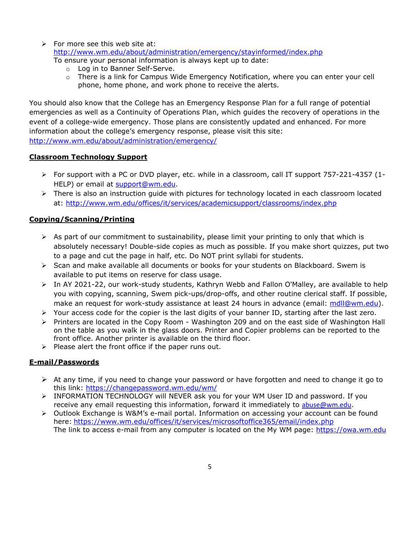$\triangleright$  For more see this web site at:

<http://www.wm.edu/about/administration/emergency/stayinformed/index.php>

To ensure your personal information is always kept up to date:

- o Log in to Banner Self-Serve.
- $\circ$  There is a link for Campus Wide Emergency Notification, where you can enter your cell phone, home phone, and work phone to receive the alerts.

You should also know that the College has an Emergency Response Plan for a full range of potential emergencies as well as a Continuity of Operations Plan, which guides the recovery of operations in the event of a college-wide emergency. Those plans are consistently updated and enhanced. For more information about the college's emergency response, please visit this site: <http://www.wm.edu/about/administration/emergency/>

#### **Classroom Technology Support**

- ➢ For support with a PC or DVD player, etc. while in a classroom, call IT support 757-221-4357 (1- HELP) or email at [support@wm.edu.](mailto:support@wm.edu)
- ➢ There is also an instruction guide with pictures for technology located in each classroom located at:<http://www.wm.edu/offices/it/services/academicsupport/classrooms/index.php>

## **Copying/Scanning/Printing**

- $\triangleright$  As part of our commitment to sustainability, please limit your printing to only that which is absolutely necessary! Double-side copies as much as possible. If you make short quizzes, put two to a page and cut the page in half, etc. Do NOT print syllabi for students.
- ➢ Scan and make available all documents or books for your students on Blackboard. Swem is available to put items on reserve for class usage.
- ➢ In AY 2021-22, our work-study students, Kathryn Webb and Fallon O'Malley, are available to help you with copying, scanning, Swem pick-ups/drop-offs, and other routine clerical staff. If possible, make an request for work-study assistance at least 24 hours in advance (email: [mdll@wm.edu\)](mailto:mdll@wm.edu).
- $\triangleright$  Your access code for the copier is the last digits of your banner ID, starting after the last zero.
- ➢ Printers are located in the Copy Room Washington 209 and on the east side of Washington Hall on the table as you walk in the glass doors. Printer and Copier problems can be reported to the front office. Another printer is available on the third floor.
- ➢ Please alert the front office if the paper runs out.

## **E-mail/Passwords**

- $\triangleright$  At any time, if you need to change your password or have forgotten and need to change it go to this link:<https://changepassword.wm.edu/wm/>
- ➢ INFORMATION TECHNOLOGY will NEVER ask you for your WM User ID and password. If you receive any email requesting this information, forward it immediately to [abuse@wm.edu](mailto:abuse@wm.edu).
- ➢ Outlook Exchange is W&M's e-mail portal. Information on accessing your account can be found here: <https://www.wm.edu/offices/it/services/microsoftoffice365/email/index.php> The link to access e-mail from any computer is located on the My WM page: [https://owa.wm.edu](https://owa.wm.edu/)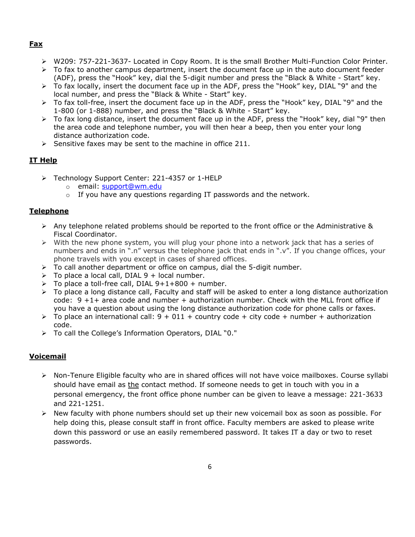#### **Fax**

- ➢ W209: 757-221-3637- Located in Copy Room. It is the small Brother Multi-Function Color Printer.
- $\triangleright$  To fax to another campus department, insert the document face up in the auto document feeder (ADF), press the "Hook" key, dial the 5-digit number and press the "Black & White - Start" key.
- ➢ To fax locally, insert the document face up in the ADF, press the "Hook" key, DIAL "9" and the local number, and press the "Black & White - Start" key.
- ➢ To fax toll-free, insert the document face up in the ADF, press the "Hook" key, DIAL "9" and the 1-800 (or 1-888) number, and press the "Black & White - Start" key.
- ➢ To fax long distance, insert the document face up in the ADF, press the "Hook" key, dial "9" then the area code and telephone number, you will then hear a beep, then you enter your long distance authorization code.
- $\triangleright$  Sensitive faxes may be sent to the machine in office 211.

## **IT Help**

- ➢ Technology Support Center: 221-4357 or 1-HELP
	- o email: support@wm.edu
	- $\circ$  If you have any questions regarding IT passwords and the network.

## **Telephone**

- ➢ Any telephone related problems should be reported to the front office or the Administrative & Fiscal Coordinator.
- ➢ With the new phone system, you will plug your phone into a network jack that has a series of numbers and ends in ".n" versus the telephone jack that ends in ".v". If you change offices, your phone travels with you except in cases of shared offices.
- $\triangleright$  To call another department or office on campus, dial the 5-digit number.
- $\triangleright$  To place a local call, DIAL 9 + local number.
- $\triangleright$  To place a toll-free call, DIAL 9+1+800 + number.
- $\triangleright$  To place a long distance call, Faculty and staff will be asked to enter a long distance authorization  $code: 9 + 1 + area code and number + authorization number. Check with the MLL front office if$ you have a question about using the long distance authorization code for phone calls or faxes.
- $\geq$  To place an international call: 9 + 011 + country code + city code + number + authorization code.
- ➢ To call the College's Information Operators, DIAL "0."

## **Voicemail**

- ➢ Non-Tenure Eligible faculty who are in shared offices will not have voice mailboxes. Course syllabi should have email as the contact method. If someone needs to get in touch with you in a personal emergency, the front office phone number can be given to leave a message: 221-3633 and 221-1251.
- $\triangleright$  New faculty with phone numbers should set up their new voicemail box as soon as possible. For help doing this, please consult staff in front office. Faculty members are asked to please write down this password or use an easily remembered password. It takes IT a day or two to reset passwords.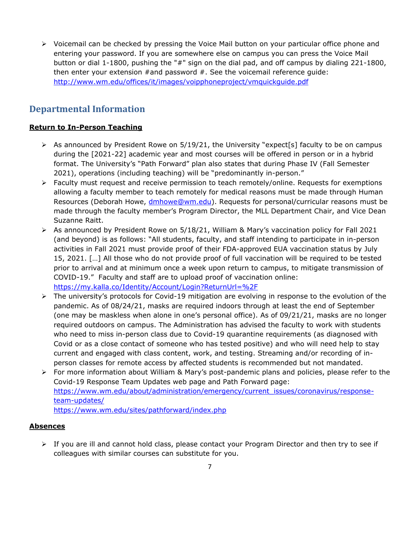➢ Voicemail can be checked by pressing the Voice Mail button on your particular office phone and entering your password. If you are somewhere else on campus you can press the Voice Mail button or dial 1-1800, pushing the "#" sign on the dial pad, and off campus by dialing 221-1800, then enter your extension  $\#$  and password  $\#$ . See the voicemail reference quide: <http://www.wm.edu/offices/it/images/voipphoneproject/vmquickguide.pdf>

# **Departmental Information**

## **Return to In-Person Teaching**

- $\triangleright$  As announced by President Rowe on 5/19/21, the University "expect[s] faculty to be on campus during the [2021-22] academic year and most courses will be offered in person or in a hybrid format. The University's "Path Forward" plan also states that during Phase IV (Fall Semester 2021), operations (including teaching) will be "predominantly in-person."
- ➢ Faculty must request and receive permission to teach remotely/online. Requests for exemptions allowing a faculty member to teach remotely for medical reasons must be made through Human Resources (Deborah Howe, [dmhowe@wm.edu\)](mailto:dmhowe@wm.edu). Requests for personal/curricular reasons must be made through the faculty member's Program Director, the MLL Department Chair, and Vice Dean Suzanne Raitt.
- ➢ As announced by President Rowe on 5/18/21, William & Mary's vaccination policy for Fall 2021 (and beyond) is as follows: "All students, faculty, and staff intending to participate in in-person activities in Fall 2021 must provide proof of their FDA-approved EUA vaccination status by July 15, 2021. […] All those who do not provide proof of full vaccination will be required to be tested prior to arrival and at minimum once a week upon return to campus, to mitigate transmission of COVID-19." Faculty and staff are to upload proof of vaccination online: <https://my.kalla.co/Identity/Account/Login?ReturnUrl=%2F>
- ➢ The university's protocols for Covid-19 mitigation are evolving in response to the evolution of the pandemic. As of 08/24/21, masks are required indoors through at least the end of September (one may be maskless when alone in one's personal office). As of 09/21/21, masks are no longer required outdoors on campus. The Administration has advised the faculty to work with students who need to miss in-person class due to Covid-19 quarantine requirements (as diagnosed with Covid or as a close contact of someone who has tested positive) and who will need help to stay current and engaged with class content, work, and testing. Streaming and/or recording of inperson classes for remote access by affected students is recommended but not mandated.
- ➢ For more information about William & Mary's post-pandemic plans and policies, please refer to the Covid-19 Response Team Updates web page and Path Forward page: [https://www.wm.edu/about/administration/emergency/current\\_issues/coronavirus/response](https://www.wm.edu/about/administration/emergency/current_issues/coronavirus/response-team-updates/)[team-updates/](https://www.wm.edu/about/administration/emergency/current_issues/coronavirus/response-team-updates/)

<https://www.wm.edu/sites/pathforward/index.php>

## **Absences**

 $\triangleright$  If you are ill and cannot hold class, please contact your Program Director and then try to see if colleagues with similar courses can substitute for you.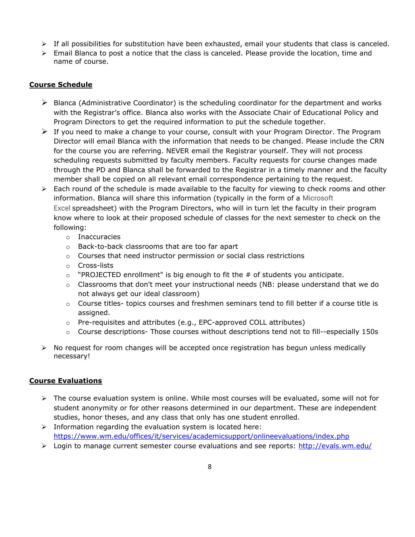- $\triangleright$  If all possibilities for substitution have been exhausted, email your students that class is canceled.
- $\triangleright$  Email Blanca to post a notice that the class is canceled. Please provide the location, time and name of course.

#### **Course Schedule**

- $\triangleright$  Blanca (Administrative Coordinator) is the scheduling coordinator for the department and works with the Registrar's office. Blanca also works with the Associate Chair of Educational Policy and Program Directors to get the required information to put the schedule together.
- $\triangleright$  If you need to make a change to your course, consult with your Program Director. The Program Director will email Blanca with the information that needs to be changed. Please include the CRN for the course you are referring. NEVER email the Registrar yourself. They will not process scheduling requests submitted by faculty members. Faculty requests for course changes made through the PD and Blanca shall be forwarded to the Registrar in a timely manner and the faculty member shall be copied on all relevant email correspondence pertaining to the request.
- $\triangleright$  Each round of the schedule is made available to the faculty for viewing to check rooms and other information. Blanca will share this information (typically in the form of a Microsoft Excel spreadsheet) with the Program Directors, who will in turn let the faculty in their program know where to look at their proposed schedule of classes for the next semester to check on the following:
	- o Inaccuracies
	- o Back-to-back classrooms that are too far apart
	- $\circ$  Courses that need instructor permission or social class restrictions
	- o Cross-lists
	- $\circ$  "PROJECTED enrollment" is big enough to fit the # of students you anticipate.
	- $\circ$  Classrooms that don't meet your instructional needs (NB: please understand that we do not always get our ideal classroom)
	- o Course titles- topics courses and freshmen seminars tend to fill better if a course title is assigned.
	- o Pre-requisites and attributes (e.g., EPC-approved COLL attributes)
	- o Course descriptions- Those courses without descriptions tend not to fill--especially 150s
- $\triangleright$  No request for room changes will be accepted once registration has begun unless medically necessary!

## **Course Evaluations**

- $\triangleright$  The course evaluation system is online. While most courses will be evaluated, some will not for student anonymity or for other reasons determined in our department. These are independent studies, honor theses, and any class that only has one student enrolled.
- $\triangleright$  Information regarding the evaluation system is located here: <https://www.wm.edu/offices/it/services/academicsupport/onlineevaluations/index.php>
- ➢ Login to manage current semester course evaluations and see reports: <http://evals.wm.edu/>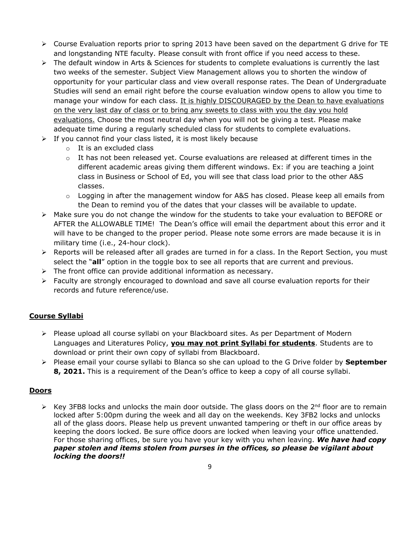- ➢ Course Evaluation reports prior to spring 2013 have been saved on the department G drive for TE and longstanding NTE faculty. Please consult with front office if you need access to these.
- $\triangleright$  The default window in Arts & Sciences for students to complete evaluations is currently the last two weeks of the semester. Subject View Management allows you to shorten the window of opportunity for your particular class and view overall response rates. The Dean of Undergraduate Studies will send an email right before the course evaluation window opens to allow you time to manage your window for each class. It is highly DISCOURAGED by the Dean to have evaluations on the very last day of class or to bring any sweets to class with you the day you hold evaluations. Choose the most neutral day when you will not be giving a test. Please make adequate time during a regularly scheduled class for students to complete evaluations.
- $\triangleright$  If you cannot find your class listed, it is most likely because
	- o It is an excluded class
	- $\circ$  It has not been released yet. Course evaluations are released at different times in the different academic areas giving them different windows. Ex: if you are teaching a joint class in Business or School of Ed, you will see that class load prior to the other A&S classes.
	- $\circ$  Logging in after the management window for A&S has closed. Please keep all emails from the Dean to remind you of the dates that your classes will be available to update.
- ➢ Make sure you do not change the window for the students to take your evaluation to BEFORE or AFTER the ALLOWABLE TIME! The Dean's office will email the department about this error and it will have to be changed to the proper period. Please note some errors are made because it is in military time (i.e., 24-hour clock).
- ➢ Reports will be released after all grades are turned in for a class. In the Report Section, you must select the "**all**" option in the toggle box to see all reports that are current and previous.
- $\triangleright$  The front office can provide additional information as necessary.
- $\triangleright$  Faculty are strongly encouraged to download and save all course evaluation reports for their records and future reference/use.

## **Course Syllabi**

- ➢ Please upload all course syllabi on your Blackboard sites. As per Department of Modern Languages and Literatures Policy, **you may not print Syllabi for students**. Students are to download or print their own copy of syllabi from Blackboard.
- ➢ Please email your course syllabi to Blanca so she can upload to the G Drive folder by **September 8, 2021.** This is a requirement of the Dean's office to keep a copy of all course syllabi.

#### **Doors**

 $\triangleright$  Key 3FB8 locks and unlocks the main door outside. The glass doors on the 2<sup>nd</sup> floor are to remain locked after 5:00pm during the week and all day on the weekends. Key 3FB2 locks and unlocks all of the glass doors. Please help us prevent unwanted tampering or theft in our office areas by keeping the doors locked. Be sure office doors are locked when leaving your office unattended. For those sharing offices, be sure you have your key with you when leaving. *We have had copy paper stolen and items stolen from purses in the offices, so please be vigilant about locking the doors!!*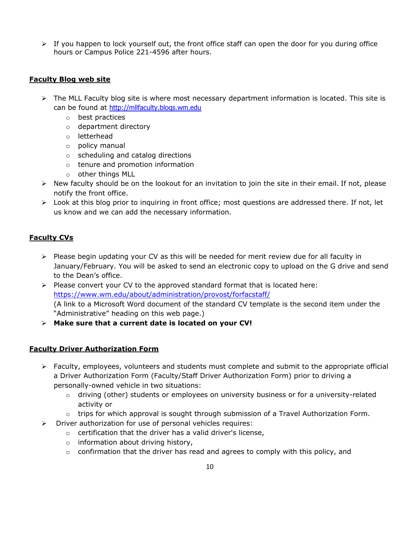$\triangleright$  If you happen to lock yourself out, the front office staff can open the door for you during office hours or Campus Police 221-4596 after hours.

#### **Faculty Blog web site**

- $\triangleright$  The MLL Faculty blog site is where most necessary department information is located. This site is can be found at [http://mllfaculty.blogs.wm.edu](http://mllfaculty.blogs.wm.edu/)
	- o best practices
	- o department directory
	- o letterhead
	- o policy manual
	- o scheduling and catalog directions
	- o tenure and promotion information
	- o other things MLL
- $\triangleright$  New faculty should be on the lookout for an invitation to join the site in their email. If not, please notify the front office.
- $\triangleright$  Look at this blog prior to inquiring in front office; most questions are addressed there. If not, let us know and we can add the necessary information.

## **Faculty CVs**

- ➢ Please begin updating your CV as this will be needed for merit review due for all faculty in January/February. You will be asked to send an electronic copy to upload on the G drive and send to the Dean's office.
- $\triangleright$  Please convert your CV to the approved standard format that is located here: <https://www.wm.edu/about/administration/provost/forfacstaff/> (A link to a Microsoft Word document of the standard CV template is the second item under the "Administrative" heading on this web page.)
- ➢ **Make sure that a current date is located on your CV!**

## **Faculty Driver Authorization Form**

- $\triangleright$  Faculty, employees, volunteers and students must complete and submit to the appropriate official a Driver Authorization Form (Faculty/Staff Driver Authorization Form) prior to driving a personally-owned vehicle in two situations:
	- $\circ$  driving (other) students or employees on university business or for a university-related activity or
	- o trips for which approval is sought through submission of a Travel Authorization Form.
- ➢ Driver authorization for use of personal vehicles requires:
	- o certification that the driver has a valid driver's license,
	- o information about driving history,
	- $\circ$  confirmation that the driver has read and agrees to comply with this policy, and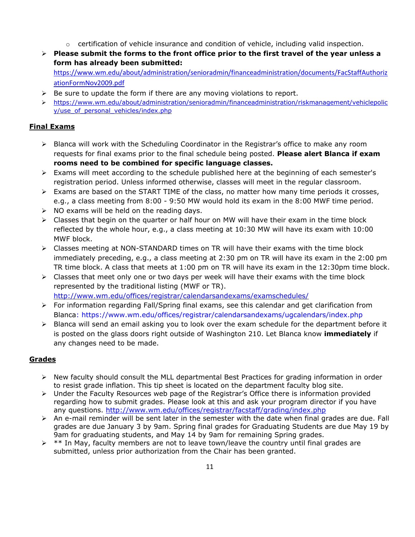- $\circ$  certification of vehicle insurance and condition of vehicle, including valid inspection.
- ➢ **Please submit the forms to the front office prior to the first travel of the year unless a form has already been submitted:**

[https://www.wm.edu/about/administration/senioradmin/financeadministration/documents/FacStaffAuthoriz](https://www.wm.edu/about/administration/senioradmin/financeadministration/documents/FacStaffAuthorizationFormNov2009.pdf) [ationFormNov2009.pdf](https://www.wm.edu/about/administration/senioradmin/financeadministration/documents/FacStaffAuthorizationFormNov2009.pdf)

- $\triangleright$  Be sure to update the form if there are any moving violations to report.
- ➢ [https://www.wm.edu/about/administration/senioradmin/financeadministration/riskmanagement/vehiclepolic](https://www.wm.edu/about/administration/senioradmin/financeadministration/riskmanagement/vehiclepolicy/use_of_personal_vehicles/index.php) [y/use\\_of\\_personal\\_vehicles/index.php](https://www.wm.edu/about/administration/senioradmin/financeadministration/riskmanagement/vehiclepolicy/use_of_personal_vehicles/index.php)

## **Final Exams**

- ➢ Blanca will work with the Scheduling Coordinator in the Registrar's office to make any room requests for final exams prior to the final schedule being posted. **Please alert Blanca if exam rooms need to be combined for specific language classes.**
- ➢ Exams will meet according to the schedule published here at the beginning of each semester's registration period. Unless informed otherwise, classes will meet in the regular classroom.
- $\triangleright$  Exams are based on the START TIME of the class, no matter how many time periods it crosses, e.g., a class meeting from 8:00 - 9:50 MW would hold its exam in the 8:00 MWF time period.
- $\triangleright$  NO exams will be held on the reading days.
- $\triangleright$  Classes that begin on the quarter or half hour on MW will have their exam in the time block reflected by the whole hour, e.g., a class meeting at 10:30 MW will have its exam with 10:00 MWF block.
- $\triangleright$  Classes meeting at NON-STANDARD times on TR will have their exams with the time block immediately preceding, e.g., a class meeting at 2:30 pm on TR will have its exam in the 2:00 pm TR time block. A class that meets at 1:00 pm on TR will have its exam in the 12:30pm time block.
- $\triangleright$  Classes that meet only one or two days per week will have their exams with the time block represented by the traditional listing (MWF or TR). <http://www.wm.edu/offices/registrar/calendarsandexams/examschedules/>
- ➢ For information regarding Fall/Spring final exams, see this calendar and get clarification from Blanca: https://www.wm.edu/offices/registrar/calendarsandexams/ugcalendars/index.php
- ➢ Blanca will send an email asking you to look over the exam schedule for the department before it is posted on the glass doors right outside of Washington 210. Let Blanca know **immediately** if any changes need to be made.

## **Grades**

- ➢ New faculty should consult the MLL departmental Best Practices for grading information in order to resist grade inflation. This tip sheet is located on the department faculty blog site.
- ➢ Under the Faculty Resources web page of the Registrar's Office there is information provided regarding how to submit grades. Please look at this and ask your program director if you have any questions.<http://www.wm.edu/offices/registrar/facstaff/grading/index.php>
- ➢ An e-mail reminder will be sent later in the semester with the date when final grades are due. Fall grades are due January 3 by 9am. Spring final grades for Graduating Students are due May 19 by 9am for graduating students, and May 14 by 9am for remaining Spring grades.
- $\triangleright$  \*\* In May, faculty members are not to leave town/leave the country until final grades are submitted, unless prior authorization from the Chair has been granted.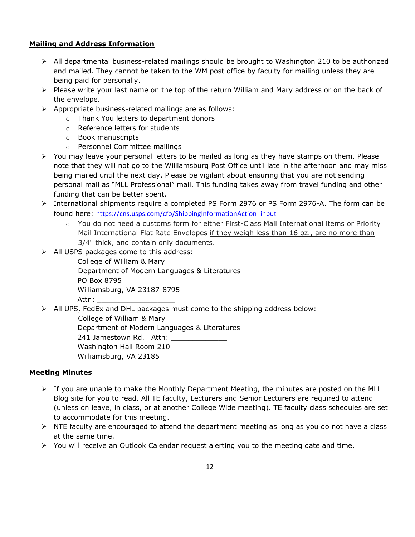## **Mailing and Address Information**

- ➢ All departmental business-related mailings should be brought to Washington 210 to be authorized and mailed. They cannot be taken to the WM post office by faculty for mailing unless they are being paid for personally.
- ➢ Please write your last name on the top of the return William and Mary address or on the back of the envelope.
- ➢ Appropriate business-related mailings are as follows:
	- o Thank You letters to department donors
	- o Reference letters for students
	- o Book manuscripts
	- o Personnel Committee mailings
- ➢ You may leave your personal letters to be mailed as long as they have stamps on them. Please note that they will not go to the Williamsburg Post Office until late in the afternoon and may miss being mailed until the next day. Please be vigilant about ensuring that you are not sending personal mail as "MLL Professional" mail. This funding takes away from travel funding and other funding that can be better spent.
- ➢ International shipments require a completed PS Form 2976 or PS Form 2976-A. The form can be found here: [https://cns.usps.com/cfo/ShippingInformationAction\\_input](https://cns.usps.com/cfo/ShippingInformationAction_input)
	- $\circ$  You do not need a customs form for either First-Class Mail International items or Priority Mail International Flat Rate Envelopes if they weigh less than 16 oz., are no more than 3/4" thick, and contain only documents.
- ➢ All USPS packages come to this address:

 College of William & Mary Department of Modern Languages & Literatures PO Box 8795 Williamsburg, VA 23187-8795 Attn:

➢ All UPS, FedEx and DHL packages must come to the shipping address below:

College of William & Mary

Department of Modern Languages & Literatures

241 Jamestown Rd. Attn: Washington Hall Room 210

Williamsburg, VA 23185

## **Meeting Minutes**

- $\triangleright$  If you are unable to make the Monthly Department Meeting, the minutes are posted on the MLL Blog site for you to read. All TE faculty, Lecturers and Senior Lecturers are required to attend (unless on leave, in class, or at another College Wide meeting). TE faculty class schedules are set to accommodate for this meeting.
- $\triangleright$  NTE faculty are encouraged to attend the department meeting as long as you do not have a class at the same time.
- $\triangleright$  You will receive an Outlook Calendar request alerting you to the meeting date and time.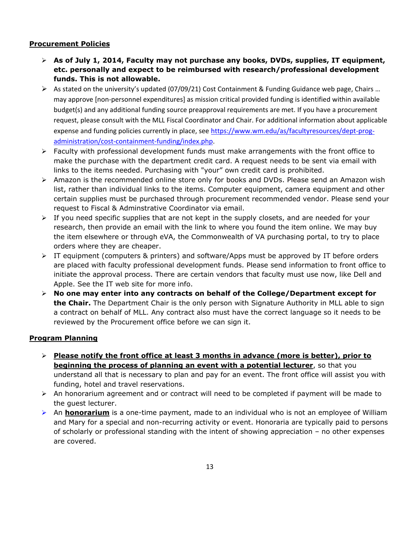#### **Procurement Policies**

- ➢ **As of July 1, 2014, Faculty may not purchase any books, DVDs, supplies, IT equipment, etc. personally and expect to be reimbursed with research/professional development funds. This is not allowable.**
- ➢ As stated on the university's updated (07/09/21) Cost Containment & Funding Guidance web page, Chairs … may approve [non-personnel expenditures] as mission critical provided funding is identified within available budget(s) and any additional funding source preapproval requirements are met. If you have a procurement request, please consult with the MLL Fiscal Coordinator and Chair. For additional information about applicable expense and funding policies currently in place, see [https://www.wm.edu/as/facultyresources/dept-prog](https://www.wm.edu/as/facultyresources/dept-prog-administration/cost-containment-funding/index.php)[administration/cost-containment-funding/index.php.](https://www.wm.edu/as/facultyresources/dept-prog-administration/cost-containment-funding/index.php)
- $\triangleright$  Faculty with professional development funds must make arrangements with the front office to make the purchase with the department credit card. A request needs to be sent via email with links to the items needed. Purchasing with "your" own credit card is prohibited.
- ➢ Amazon is the recommended online store only for books and DVDs. Please send an Amazon wish list, rather than individual links to the items. Computer equipment, camera equipment and other certain supplies must be purchased through procurement recommended vendor. Please send your request to Fiscal & Adminstrative Coordinator via email.
- $\triangleright$  If you need specific supplies that are not kept in the supply closets, and are needed for your research, then provide an email with the link to where you found the item online. We may buy the item elsewhere or through eVA, the Commonwealth of VA purchasing portal, to try to place orders where they are cheaper.
- $\triangleright$  IT equipment (computers & printers) and software/Apps must be approved by IT before orders are placed with faculty professional development funds. Please send information to front office to initiate the approval process. There are certain vendors that faculty must use now, like Dell and Apple. See the IT web site for more info.
- ➢ **No one may enter into any contracts on behalf of the College/Department except for the Chair.** The Department Chair is the only person with Signature Authority in MLL able to sign a contract on behalf of MLL. Any contract also must have the correct language so it needs to be reviewed by the Procurement office before we can sign it.

## **Program Planning**

- ➢ **Please notify the front office at least 3 months in advance (more is better), prior to beginning the process of planning an event with a potential lecturer**, so that you understand all that is necessary to plan and pay for an event. The front office will assist you with funding, hotel and travel reservations.
- $\triangleright$  An honorarium agreement and or contract will need to be completed if payment will be made to the guest lecturer.
- ➢ An **honorarium** is a one-time payment, made to an individual who is not an employee of William and Mary for a special and non-recurring activity or event. Honoraria are typically paid to persons of scholarly or professional standing with the intent of showing appreciation – no other expenses are covered.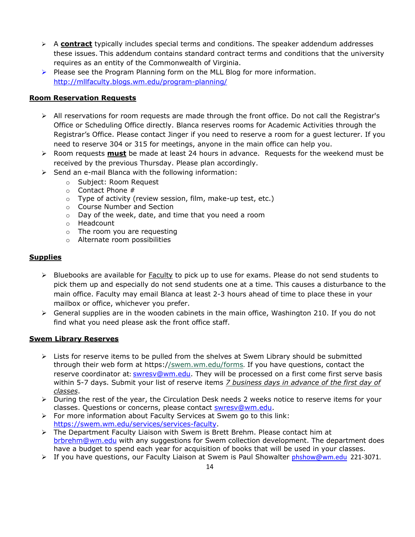- ➢ A **contract** typically includes special terms and conditions. The speaker addendum addresses these issues. This addendum contains standard contract terms and conditions that the university requires as an entity of the Commonwealth of Virginia.
- $\triangleright$  Please see the Program Planning form on the MLL Blog for more information. <http://mllfaculty.blogs.wm.edu/program-planning/>

#### **Room Reservation Requests**

- ➢ All reservations for room requests are made through the front office. Do not call the Registrar's Office or Scheduling Office directly. Blanca reserves rooms for Academic Activities through the Registrar's Office. Please contact Jinger if you need to reserve a room for a guest lecturer. If you need to reserve 304 or 315 for meetings, anyone in the main office can help you.
- ➢ Room requests **must** be made at least 24 hours in advance. Requests for the weekend must be received by the previous Thursday. Please plan accordingly.
- ➢ Send an e-mail Blanca with the following information:
	- o Subject: Room Request
	- o Contact Phone #
	- o Type of activity (review session, film, make-up test, etc.)
	- o Course Number and Section
	- o Day of the week, date, and time that you need a room
	- o Headcount
	- o The room you are requesting
	- o Alternate room possibilities

#### **Supplies**

- ➢ Bluebooks are available for Faculty to pick up to use for exams. Please do not send students to pick them up and especially do not send students one at a time. This causes a disturbance to the main office. Faculty may email Blanca at least 2-3 hours ahead of time to place these in your mailbox or office, whichever you prefer.
- $\triangleright$  General supplies are in the wooden cabinets in the main office, Washington 210. If you do not find what you need please ask the front office staff.

#### **Swem Library Reserves**

- $\triangleright$  Lists for reserve items to be pulled from the shelves at Swem Library should be submitted through their web form at https:[//swem.wm.edu/forms](https://swem.wm.edu/forms). If you have questions, contact the reserve coordinator at: [swresv@wm.edu.](mailto:swresv@wm.edu) They will be processed on a first come first serve basis within 5-7 days. Submit your list of reserve items *7 business days in advance of the first day of classes*.
- ➢ During the rest of the year, the Circulation Desk needs 2 weeks notice to reserve items for your classes. Questions or concerns, please contact [swresv@wm.edu.](mailto:swresv@wm.edu)
- ➢ For more information about Faculty Services at Swem go to this link: [https://swem.wm.edu/services/services-faculty.](https://swem.wm.edu/services/services-faculty)
- ➢ The Department Faculty Liaison with Swem is Brett Brehm. Please contact him a[t](mailto:%20brbrehm@wm.edu) [brbrehm@wm.edu](mailto:%20brbrehm@wm.edu) with any suggestions for Swem collection development. The department does have a budget to spend each year for acquisition of books that will be used in your classes.
- ➢ If you have questions, our Faculty Liaison at Swem is Paul Showalter [phshow@wm.edu](mailto:phshow@wm.edu) 221-3071.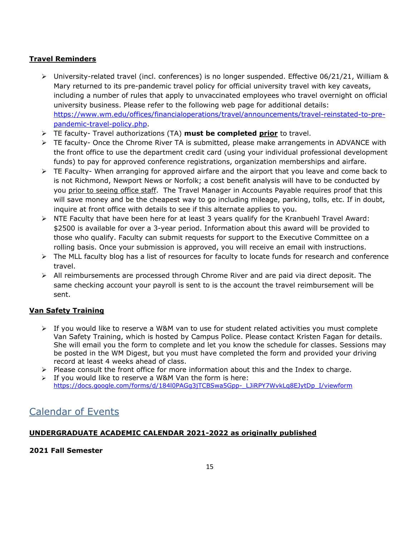## **Travel Reminders**

- ➢ University-related travel (incl. conferences) is no longer suspended. Effective 06/21/21, William & Mary returned to its pre-pandemic travel policy for official university travel with key caveats, including a number of rules that apply to unvaccinated employees who travel overnight on official university business. Please refer to the following web page for additional details: [https://www.wm.edu/offices/financialoperations/travel/announcements/travel-reinstated-to-pre](https://www.wm.edu/offices/financialoperations/travel/announcements/travel-reinstated-to-pre-pandemic-travel-policy.php)[pandemic-travel-policy.php.](https://www.wm.edu/offices/financialoperations/travel/announcements/travel-reinstated-to-pre-pandemic-travel-policy.php)
- ➢ TE faculty- Travel authorizations (TA) **must be completed prior** to travel.
- $\triangleright$  TE faculty- Once the Chrome River TA is submitted, please make arrangements in ADVANCE with the front office to use the department credit card (using your individual professional development funds) to pay for approved conference registrations, organization memberships and airfare.
- $\triangleright$  TE Faculty- When arranging for approved airfare and the airport that you leave and come back to is not Richmond, Newport News or Norfolk; a cost benefit analysis will have to be conducted by you prior to seeing office staff. The Travel Manager in Accounts Payable requires proof that this will save money and be the cheapest way to go including mileage, parking, tolls, etc. If in doubt, inquire at front office with details to see if this alternate applies to you.
- ➢ NTE Faculty that have been here for at least 3 years qualify for the Kranbuehl Travel Award: \$2500 is available for over a 3-year period. Information about this award will be provided to those who qualify. Faculty can submit requests for support to the Executive Committee on a rolling basis. Once your submission is approved, you will receive an email with instructions.
- $\triangleright$  The MLL faculty blog has a list of resources for faculty to locate funds for research and conference travel.
- ➢ All reimbursements are processed through Chrome River and are paid via direct deposit. The same checking account your payroll is sent to is the account the travel reimbursement will be sent.

## **Van Safety Training**

- $\triangleright$  If you would like to reserve a W&M van to use for student related activities you must complete Van Safety Training, which is hosted by Campus Police. Please contact Kristen Fagan for details. She will email you the form to complete and let you know the schedule for classes. Sessions may be posted in the WM Digest, but you must have completed the form and provided your driving record at least 4 weeks ahead of class.
- $\triangleright$  Please consult the front office for more information about this and the Index to charge.
- $\triangleright$  If you would like to reserve a W&M Van the form is here: [https://docs.google.com/forms/d/184l0PAGg3jTCBSwa5Gpp-\\_LJiRPY7WvkLq8EJytDp\\_I/viewform](https://docs.google.com/forms/d/184l0PAGg3jTCBSwa5Gpp-_LJiRPY7WvkLq8EJytDp_I/viewform)

# Calendar of Events

## **UNDERGRADUATE ACADEMIC CALENDAR 2021-2022 as originally published**

#### **2021 Fall Semester**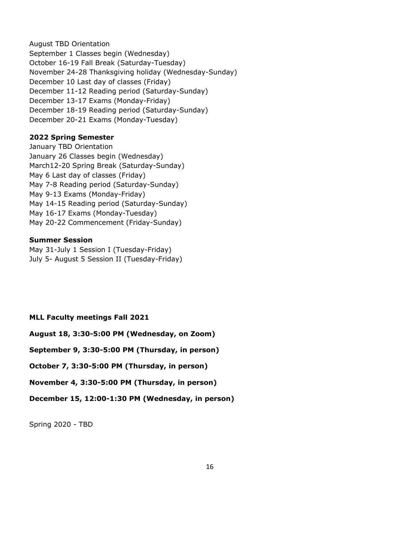August TBD Orientation September 1 Classes begin (Wednesday) October 16-19 Fall Break (Saturday-Tuesday) November 24-28 Thanksgiving holiday (Wednesday-Sunday) December 10 Last day of classes (Friday) December 11-12 Reading period (Saturday-Sunday) December 13-17 Exams (Monday-Friday) December 18-19 Reading period (Saturday-Sunday) December 20-21 Exams (Monday-Tuesday)

#### **2022 Spring Semester**

January TBD Orientation January 26 Classes begin (Wednesday) March12-20 Spring Break (Saturday-Sunday) May 6 Last day of classes (Friday) May 7-8 Reading period (Saturday-Sunday) May 9-13 Exams (Monday-Friday) May 14-15 Reading period (Saturday-Sunday) May 16-17 Exams (Monday-Tuesday) May 20-22 Commencement (Friday-Sunday)

#### **Summer Session**

May 31-July 1 Session I (Tuesday-Friday) July 5- August 5 Session II (Tuesday-Friday)

**MLL Faculty meetings Fall 2021**

**August 18, 3:30-5:00 PM (Wednesday, on Zoom)**

**September 9, 3:30-5:00 PM (Thursday, in person)**

**October 7, 3:30-5:00 PM (Thursday, in person)**

**November 4, 3:30-5:00 PM (Thursday, in person)**

**December 15, 12:00-1:30 PM (Wednesday, in person)**

Spring 2020 - TBD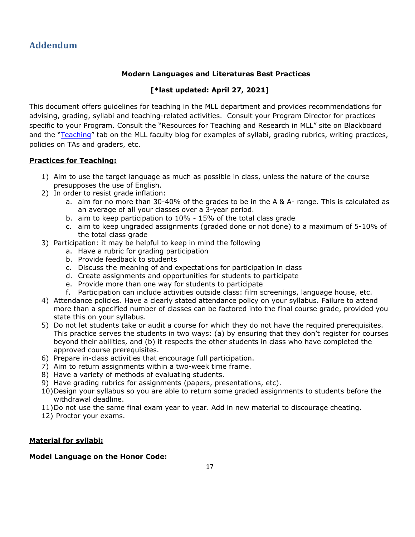# **Addendum**

#### **Modern Languages and Literatures Best Practices**

## **[\*last updated: April 27, 2021]**

This document offers guidelines for teaching in the MLL department and provides recommendations for advising, grading, syllabi and teaching-related activities. Consult your Program Director for practices specific to your Program. Consult the "[Resources for Teaching and Research in MLL](https://blackboard.wm.edu/webapps/portal/frameset.jsp?tab_tab_group_id=_2_1&url=%2Fwebapps%2Fblackboard%2Fexecute%2Flauncher%3Ftype%3DCourse%26id%3D_3780_1%26url%3D)" site on Blackboard and the "[Teaching](http://mllfaculty.blogs.wm.edu/?page_id=8200)" tab on the MLL faculty blog for examples of syllabi, grading rubrics, writing practices, policies on TAs and graders, etc.

#### **Practices for Teaching:**

- 1) Aim to use the target language as much as possible in class, unless the nature of the course presupposes the use of English.
- 2) In order to resist grade inflation:
	- a. aim for no more than 30-40% of the grades to be in the A & A- range. This is calculated as an average of all your classes over a 3-year period.
	- b. aim to keep participation to 10% 15% of the total class grade
	- c. aim to keep ungraded assignments (graded done or not done) to a maximum of 5-10% of the total class grade
- 3) Participation: it may be helpful to keep in mind the following
	- a. Have a rubric for grading participation
	- b. Provide feedback to students
	- c. Discuss the meaning of and expectations for participation in class
	- d. Create assignments and opportunities for students to participate
	- e. Provide more than one way for students to participate
	- f. Participation can include activities outside class: film screenings, language house, etc.
- 4) Attendance policies. Have a clearly stated attendance policy on your syllabus. Failure to attend more than a specified number of classes can be factored into the final course grade, provided you state this on your syllabus.
- 5) Do not let students take or audit a course for which they do not have the required prerequisites. This practice serves the students in two ways: (a) by ensuring that they don't register for courses beyond their abilities, and (b) it respects the other students in class who have completed the approved course prerequisites.
- 6) Prepare in-class activities that encourage full participation.
- 7) Aim to return assignments within a two-week time frame.
- 8) Have a variety of methods of evaluating students.
- 9) Have grading rubrics for assignments (papers, presentations, etc).
- 10)Design your syllabus so you are able to return some graded assignments to students before the withdrawal deadline.
- 11)Do not use the same final exam year to year. Add in new material to discourage cheating.
- 12) Proctor your exams.

#### **Material for syllabi:**

#### **Model Language on the Honor Code:**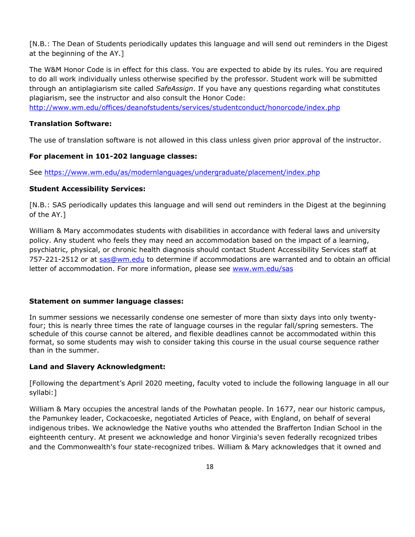[N.B.: The Dean of Students periodically updates this language and will send out reminders in the Digest at the beginning of the AY.]

The W&M Honor Code is in effect for this class. You are expected to abide by its rules. You are required to do all work individually unless otherwise specified by the professor. Student work will be submitted through an antiplagiarism site called *SafeAssign*. If you have any questions regarding what constitutes plagiarism, see the instructor and also consult the Honor Code:

<http://www.wm.edu/offices/deanofstudents/services/studentconduct/honorcode/index.php>

#### **Translation Software:**

The use of translation software is not allowed in this class unless given prior approval of the instructor.

#### **For placement in 101-202 language classes:**

See<https://www.wm.edu/as/modernlanguages/undergraduate/placement/index.php>

#### **Student Accessibility Services:**

[N.B.: SAS periodically updates this language and will send out reminders in the Digest at the beginning of the AY.]

William & Mary accommodates students with disabilities in accordance with federal laws and university policy. Any student who feels they may need an accommodation based on the impact of a learning, psychiatric, physical, or chronic health diagnosis should contact Student Accessibility Services staff at 757-221-2512 or at [sas@wm.edu](mailto:sas@wm.edu) to determine if accommodations are warranted and to obtain an official letter of accommodation. For more information, please see [www.wm.edu/sas](http://www.wm.edu/sas)

#### **Statement on summer language classes:**

In summer sessions we necessarily condense one semester of more than sixty days into only twentyfour; this is nearly three times the rate of language courses in the regular fall/spring semesters. The schedule of this course cannot be altered, and flexible deadlines cannot be accommodated within this format, so some students may wish to consider taking this course in the usual course sequence rather than in the summer.

#### **Land and Slavery Acknowledgment:**

[Following the department's April 2020 meeting, faculty voted to include the following language in all our syllabi:]

William & Mary occupies the ancestral lands of the Powhatan people. In 1677, near our historic campus, the Pamunkey leader, Cockacoeske, negotiated Articles of Peace, with England, on behalf of several indigenous tribes. We acknowledge the Native youths who attended the Brafferton Indian School in the eighteenth century. At present we acknowledge and honor Virginia's seven federally recognized tribes and the Commonwealth's four state-recognized tribes. William & Mary acknowledges that it owned and